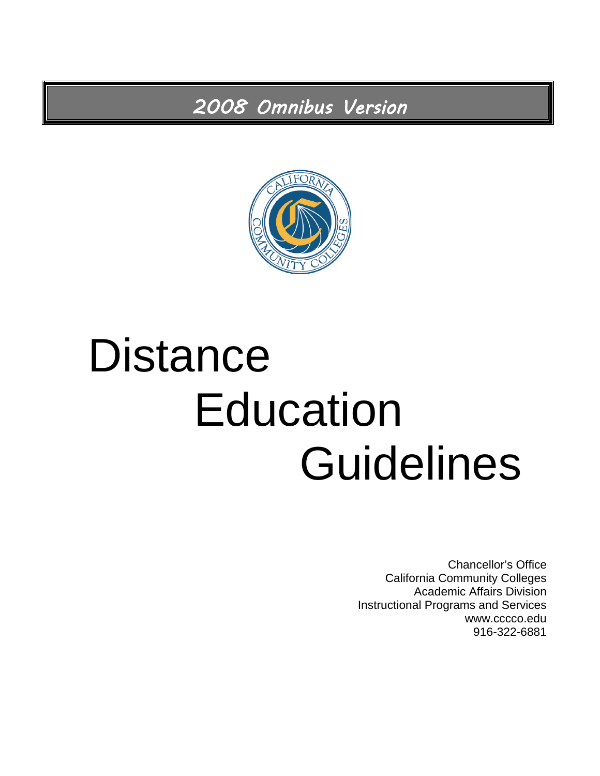*2008 Omnibus Version* 



# **Distance** Education **Guidelines**

Chancellor's Office California Community Colleges Academic Affairs Division Instructional Programs and Services www.cccco.edu 916-322-6881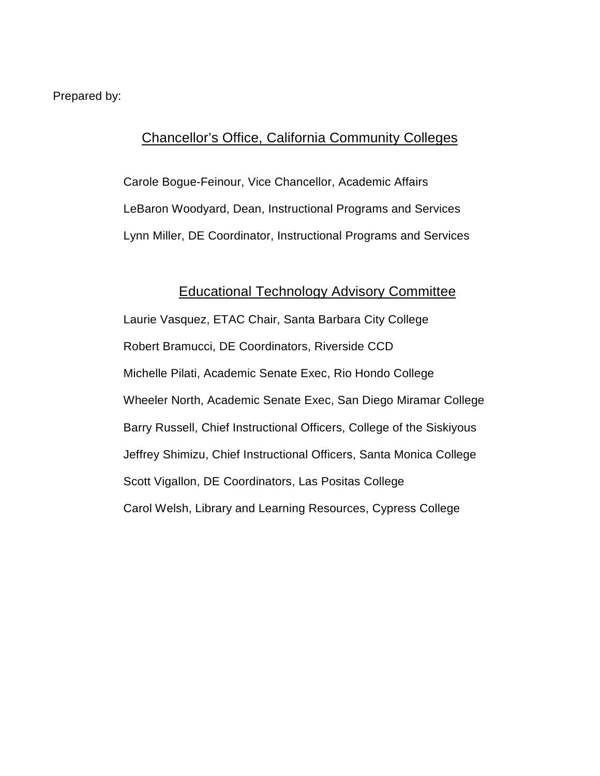Prepared by:

#### Chancellor's Office, California Community Colleges

Carole Bogue-Feinour, Vice Chancellor, Academic Affairs LeBaron Woodyard, Dean, Instructional Programs and Services Lynn Miller, DE Coordinator, Instructional Programs and Services

#### Educational Technology Advisory Committee

Laurie Vasquez, ETAC Chair, Santa Barbara City College Robert Bramucci, DE Coordinators, Riverside CCD Michelle Pilati, Academic Senate Exec, Rio Hondo College Wheeler North, Academic Senate Exec, San Diego Miramar College Barry Russell, Chief Instructional Officers, College of the Siskiyous Jeffrey Shimizu, Chief Instructional Officers, Santa Monica College Scott Vigallon, DE Coordinators, Las Positas College Carol Welsh, Library and Learning Resources, Cypress College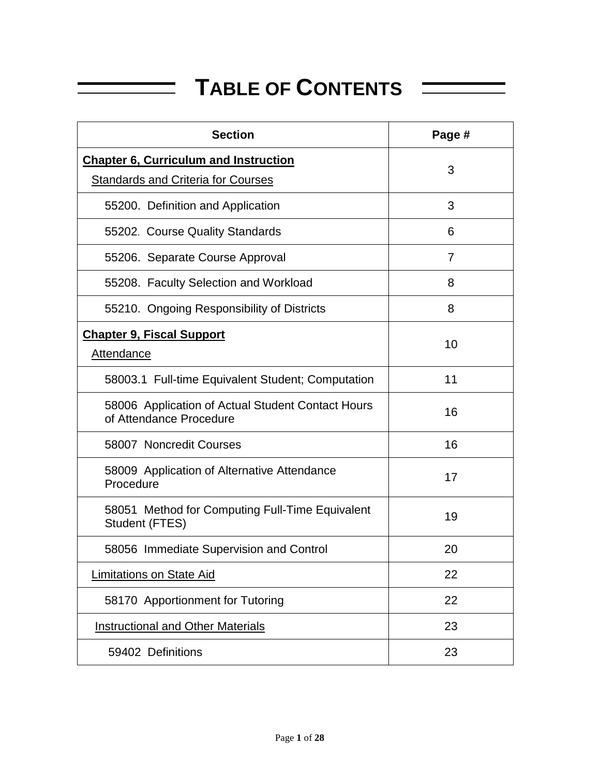## **TABLE OF CONTENTS**

| <b>Section</b>                                                               | Page # |
|------------------------------------------------------------------------------|--------|
| <b>Chapter 6, Curriculum and Instruction</b>                                 | 3      |
| <b>Standards and Criteria for Courses</b>                                    |        |
| 55200. Definition and Application                                            | 3      |
| 55202. Course Quality Standards                                              | 6      |
| 55206. Separate Course Approval                                              | 7      |
| 55208. Faculty Selection and Workload                                        | 8      |
| 55210. Ongoing Responsibility of Districts                                   | 8      |
| <b>Chapter 9, Fiscal Support</b><br><b>Attendance</b>                        | 10     |
| 58003.1 Full-time Equivalent Student; Computation                            | 11     |
| 58006 Application of Actual Student Contact Hours<br>of Attendance Procedure | 16     |
| 58007 Noncredit Courses                                                      | 16     |
| 58009 Application of Alternative Attendance<br>Procedure                     | 17     |
| 58051 Method for Computing Full-Time Equivalent<br>Student (FTES)            | 19     |
| 58056 Immediate Supervision and Control                                      | 20     |
| <b>Limitations on State Aid</b>                                              | 22     |
| 58170 Apportionment for Tutoring                                             | 22     |
| <b>Instructional and Other Materials</b>                                     | 23     |
| 59402 Definitions                                                            | 23     |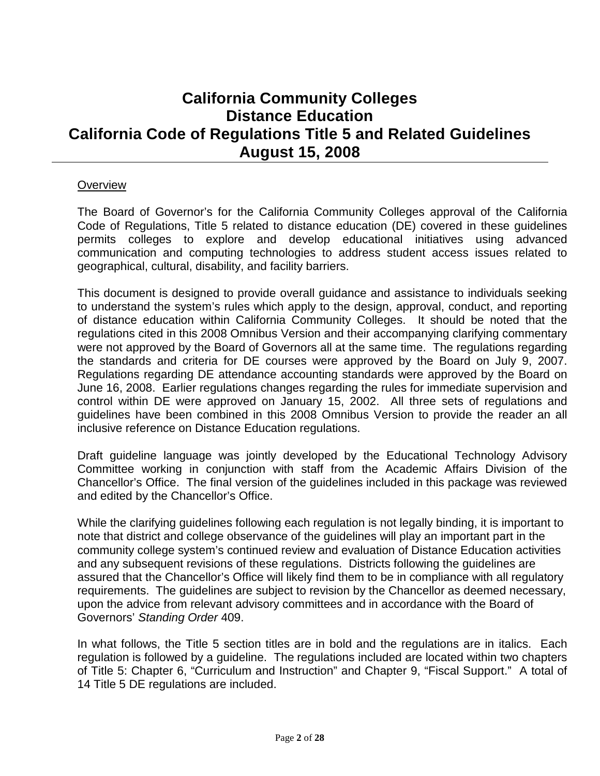### **California Community Colleges Distance Education California Code of Regulations Title 5 and Related Guidelines August 15, 2008**

#### **Overview**

The Board of Governor's for the California Community Colleges approval of the California Code of Regulations, Title 5 related to distance education (DE) covered in these guidelines permits colleges to explore and develop educational initiatives using advanced communication and computing technologies to address student access issues related to geographical, cultural, disability, and facility barriers.

This document is designed to provide overall guidance and assistance to individuals seeking to understand the system's rules which apply to the design, approval, conduct, and reporting of distance education within California Community Colleges. It should be noted that the regulations cited in this 2008 Omnibus Version and their accompanying clarifying commentary were not approved by the Board of Governors all at the same time. The regulations regarding the standards and criteria for DE courses were approved by the Board on July 9, 2007. Regulations regarding DE attendance accounting standards were approved by the Board on June 16, 2008. Earlier regulations changes regarding the rules for immediate supervision and control within DE were approved on January 15, 2002. All three sets of regulations and guidelines have been combined in this 2008 Omnibus Version to provide the reader an all inclusive reference on Distance Education regulations.

Draft guideline language was jointly developed by the Educational Technology Advisory Committee working in conjunction with staff from the Academic Affairs Division of the Chancellor's Office. The final version of the guidelines included in this package was reviewed and edited by the Chancellor's Office.

While the clarifying guidelines following each regulation is not legally binding, it is important to note that district and college observance of the guidelines will play an important part in the community college system's continued review and evaluation of Distance Education activities and any subsequent revisions of these regulations. Districts following the guidelines are assured that the Chancellor's Office will likely find them to be in compliance with all regulatory requirements. The guidelines are subject to revision by the Chancellor as deemed necessary, upon the advice from relevant advisory committees and in accordance with the Board of Governors' *Standing Order* 409.

In what follows, the Title 5 section titles are in bold and the regulations are in italics. Each regulation is followed by a guideline. The regulations included are located within two chapters of Title 5: Chapter 6, "Curriculum and Instruction" and Chapter 9, "Fiscal Support." A total of 14 Title 5 DE regulations are included.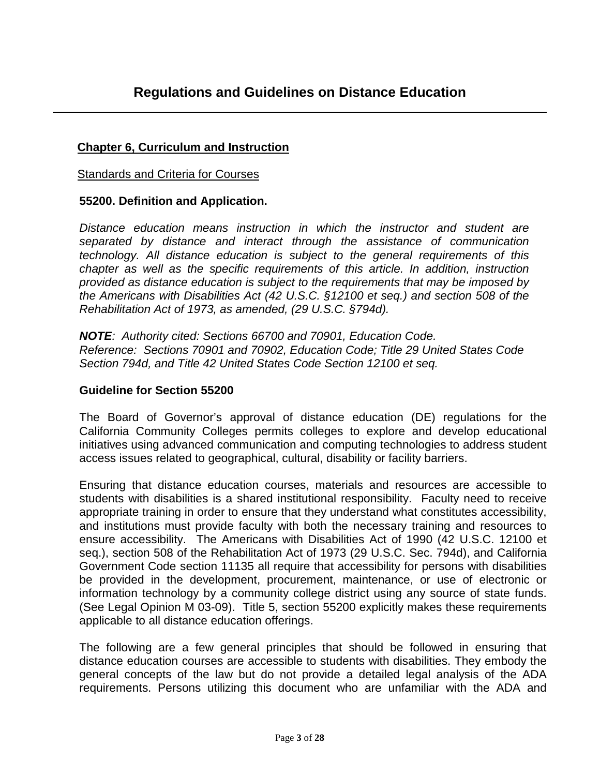#### **Chapter 6, Curriculum and Instruction**

#### Standards and Criteria for Courses

#### **55200. Definition and Application.**

*Distance education means instruction in which the instructor and student are separated by distance and interact through the assistance of communication technology. All distance education is subject to the general requirements of this chapter as well as the specific requirements of this article. In addition, instruction provided as distance education is subject to the requirements that may be imposed by the Americans with Disabilities Act (42 U.S.C. §12100 et seq.) and section 508 of the Rehabilitation Act of 1973, as amended, (29 U.S.C. §794d).* 

*NOTE: Authority cited: Sections 66700 and 70901, Education Code. Reference: Sections 70901 and 70902, Education Code; Title 29 United States Code Section 794d, and Title 42 United States Code Section 12100 et seq.*

#### **Guideline for Section 55200**

The Board of Governor's approval of distance education (DE) regulations for the California Community Colleges permits colleges to explore and develop educational initiatives using advanced communication and computing technologies to address student access issues related to geographical, cultural, disability or facility barriers.

Ensuring that distance education courses, materials and resources are accessible to students with disabilities is a shared institutional responsibility. Faculty need to receive appropriate training in order to ensure that they understand what constitutes accessibility, and institutions must provide faculty with both the necessary training and resources to ensure accessibility. The Americans with Disabilities Act of 1990 (42 U.S.C. 12100 et seq.), section 508 of the Rehabilitation Act of 1973 (29 U.S.C. Sec. 794d), and California Government Code section 11135 all require that accessibility for persons with disabilities be provided in the development, procurement, maintenance, or use of electronic or information technology by a community college district using any source of state funds. (See Legal Opinion M 03-09). Title 5, section 55200 explicitly makes these requirements applicable to all distance education offerings.

The following are a few general principles that should be followed in ensuring that distance education courses are accessible to students with disabilities. They embody the general concepts of the law but do not provide a detailed legal analysis of the ADA requirements. Persons utilizing this document who are unfamiliar with the ADA and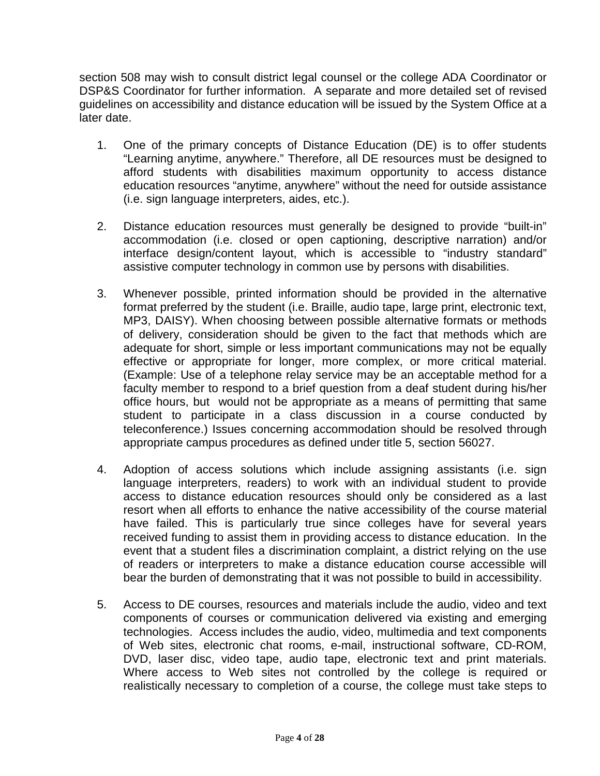section 508 may wish to consult district legal counsel or the college ADA Coordinator or DSP&S Coordinator for further information. A separate and more detailed set of revised guidelines on accessibility and distance education will be issued by the System Office at a later date.

- 1. One of the primary concepts of Distance Education (DE) is to offer students "Learning anytime, anywhere." Therefore, all DE resources must be designed to afford students with disabilities maximum opportunity to access distance education resources "anytime, anywhere" without the need for outside assistance (i.e. sign language interpreters, aides, etc.).
- 2. Distance education resources must generally be designed to provide "built-in" accommodation (i.e. closed or open captioning, descriptive narration) and/or interface design/content layout, which is accessible to "industry standard" assistive computer technology in common use by persons with disabilities.
- 3. Whenever possible, printed information should be provided in the alternative format preferred by the student (i.e. Braille, audio tape, large print, electronic text, MP3, DAISY). When choosing between possible alternative formats or methods of delivery, consideration should be given to the fact that methods which are adequate for short, simple or less important communications may not be equally effective or appropriate for longer, more complex, or more critical material. (Example: Use of a telephone relay service may be an acceptable method for a faculty member to respond to a brief question from a deaf student during his/her office hours, but would not be appropriate as a means of permitting that same student to participate in a class discussion in a course conducted by teleconference.) Issues concerning accommodation should be resolved through appropriate campus procedures as defined under title 5, section 56027.
- 4. Adoption of access solutions which include assigning assistants (i.e. sign language interpreters, readers) to work with an individual student to provide access to distance education resources should only be considered as a last resort when all efforts to enhance the native accessibility of the course material have failed. This is particularly true since colleges have for several years received funding to assist them in providing access to distance education. In the event that a student files a discrimination complaint, a district relying on the use of readers or interpreters to make a distance education course accessible will bear the burden of demonstrating that it was not possible to build in accessibility.
- 5. Access to DE courses, resources and materials include the audio, video and text components of courses or communication delivered via existing and emerging technologies. Access includes the audio, video, multimedia and text components of Web sites, electronic chat rooms, e-mail, instructional software, CD-ROM, DVD, laser disc, video tape, audio tape, electronic text and print materials. Where access to Web sites not controlled by the college is required or realistically necessary to completion of a course, the college must take steps to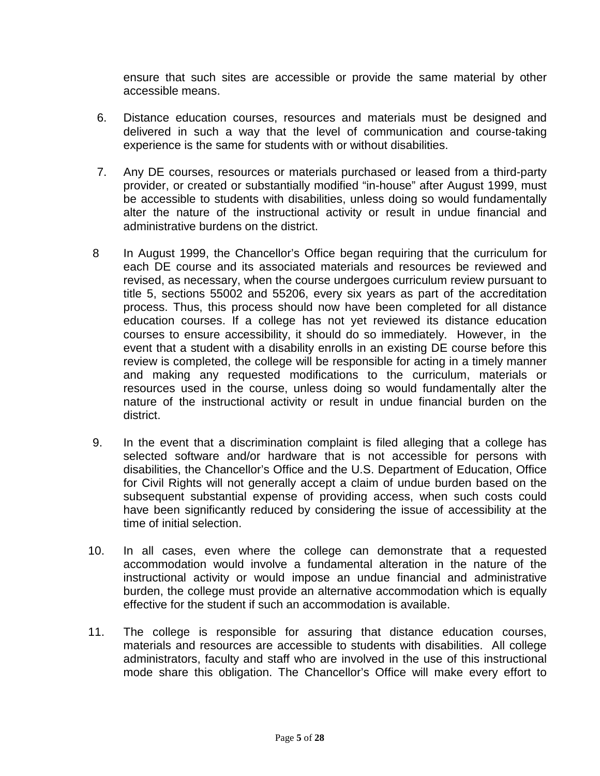ensure that such sites are accessible or provide the same material by other accessible means.

- 6. Distance education courses, resources and materials must be designed and delivered in such a way that the level of communication and course-taking experience is the same for students with or without disabilities.
- 7. Any DE courses, resources or materials purchased or leased from a third-party provider, or created or substantially modified "in-house" after August 1999, must be accessible to students with disabilities, unless doing so would fundamentally alter the nature of the instructional activity or result in undue financial and administrative burdens on the district.
- 8 In August 1999, the Chancellor's Office began requiring that the curriculum for each DE course and its associated materials and resources be reviewed and revised, as necessary, when the course undergoes curriculum review pursuant to title 5, sections 55002 and 55206, every six years as part of the accreditation process. Thus, this process should now have been completed for all distance education courses. If a college has not yet reviewed its distance education courses to ensure accessibility, it should do so immediately. However, in the event that a student with a disability enrolls in an existing DE course before this review is completed, the college will be responsible for acting in a timely manner and making any requested modifications to the curriculum, materials or resources used in the course, unless doing so would fundamentally alter the nature of the instructional activity or result in undue financial burden on the district.
- 9. In the event that a discrimination complaint is filed alleging that a college has selected software and/or hardware that is not accessible for persons with disabilities, the Chancellor's Office and the U.S. Department of Education, Office for Civil Rights will not generally accept a claim of undue burden based on the subsequent substantial expense of providing access, when such costs could have been significantly reduced by considering the issue of accessibility at the time of initial selection.
- 10. In all cases, even where the college can demonstrate that a requested accommodation would involve a fundamental alteration in the nature of the instructional activity or would impose an undue financial and administrative burden, the college must provide an alternative accommodation which is equally effective for the student if such an accommodation is available.
- 11. The college is responsible for assuring that distance education courses, materials and resources are accessible to students with disabilities. All college administrators, faculty and staff who are involved in the use of this instructional mode share this obligation. The Chancellor's Office will make every effort to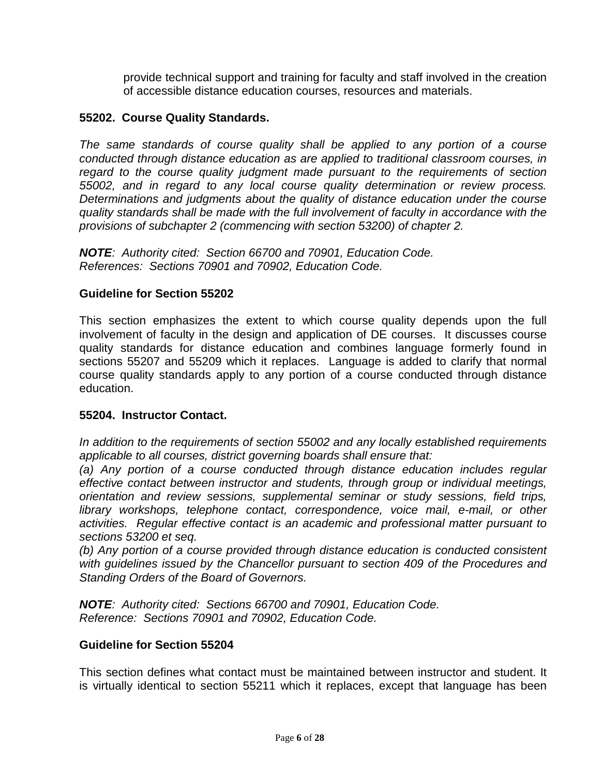provide technical support and training for faculty and staff involved in the creation of accessible distance education courses, resources and materials.

#### **55202. Course Quality Standards.**

*The same standards of course quality shall be applied to any portion of a course conducted through distance education as are applied to traditional classroom courses, in*  regard to the course quality judgment made pursuant to the requirements of section *55002, and in regard to any local course quality determination or review process. Determinations and judgments about the quality of distance education under the course quality standards shall be made with the full involvement of faculty in accordance with the provisions of subchapter 2 (commencing with section 53200) of chapter 2.* 

*NOTE: Authority cited: Section 66700 and 70901, Education Code. References: Sections 70901 and 70902, Education Code.*

#### **Guideline for Section 55202**

This section emphasizes the extent to which course quality depends upon the full involvement of faculty in the design and application of DE courses. It discusses course quality standards for distance education and combines language formerly found in sections 55207 and 55209 which it replaces. Language is added to clarify that normal course quality standards apply to any portion of a course conducted through distance education.

#### **55204. Instructor Contact.**

*In addition to the requirements of section 55002 and any locally established requirements applicable to all courses, district governing boards shall ensure that:*

*(a) Any portion of a course conducted through distance education includes regular effective contact between instructor and students, through group or individual meetings, orientation and review sessions, supplemental seminar or study sessions, field trips, library workshops, telephone contact, correspondence, voice mail, e-mail, or other activities. Regular effective contact is an academic and professional matter pursuant to sections 53200 et seq.*

*(b) Any portion of a course provided through distance education is conducted consistent with guidelines issued by the Chancellor pursuant to section 409 of the Procedures and Standing Orders of the Board of Governors.*

*NOTE: Authority cited: Sections 66700 and 70901, Education Code. Reference: Sections 70901 and 70902, Education Code.*

#### **Guideline for Section 55204**

This section defines what contact must be maintained between instructor and student. It is virtually identical to section 55211 which it replaces, except that language has been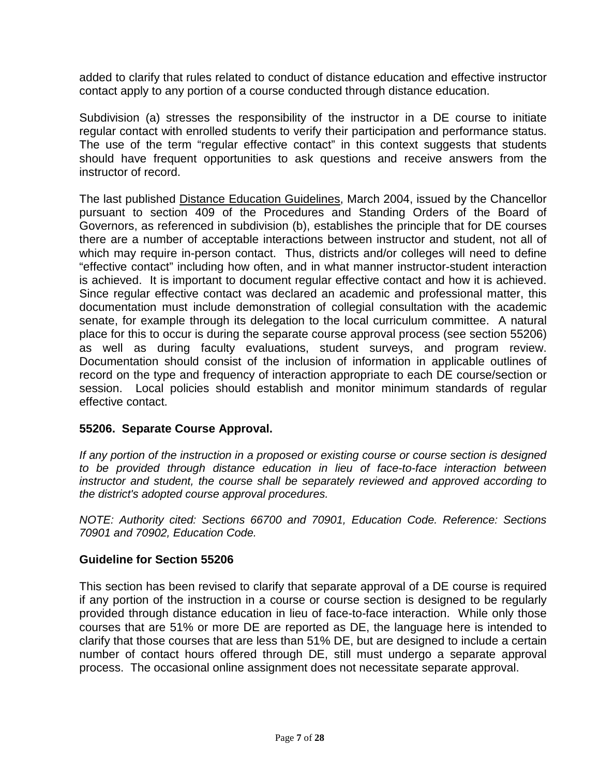added to clarify that rules related to conduct of distance education and effective instructor contact apply to any portion of a course conducted through distance education.

Subdivision (a) stresses the responsibility of the instructor in a DE course to initiate regular contact with enrolled students to verify their participation and performance status. The use of the term "regular effective contact" in this context suggests that students should have frequent opportunities to ask questions and receive answers from the instructor of record.

The last published Distance Education Guidelines, March 2004, issued by the Chancellor pursuant to section 409 of the Procedures and Standing Orders of the Board of Governors, as referenced in subdivision (b), establishes the principle that for DE courses there are a number of acceptable interactions between instructor and student, not all of which may require in-person contact. Thus, districts and/or colleges will need to define "effective contact" including how often, and in what manner instructor-student interaction is achieved. It is important to document regular effective contact and how it is achieved. Since regular effective contact was declared an academic and professional matter, this documentation must include demonstration of collegial consultation with the academic senate, for example through its delegation to the local curriculum committee. A natural place for this to occur is during the separate course approval process (see section 55206) as well as during faculty evaluations, student surveys, and program review. Documentation should consist of the inclusion of information in applicable outlines of record on the type and frequency of interaction appropriate to each DE course/section or session. Local policies should establish and monitor minimum standards of regular effective contact.

#### **55206. Separate Course Approval.**

*If any portion of the instruction in a proposed or existing course or course section is designed to be provided through distance education in lieu of face-to-face interaction between instructor and student, the course shall be separately reviewed and approved according to the district's adopted course approval procedures.*

*NOTE: Authority cited: Sections 66700 and 70901, Education Code. Reference: Sections 70901 and 70902, Education Code.* 

#### **Guideline for Section 55206**

This section has been revised to clarify that separate approval of a DE course is required if any portion of the instruction in a course or course section is designed to be regularly provided through distance education in lieu of face-to-face interaction. While only those courses that are 51% or more DE are reported as DE, the language here is intended to clarify that those courses that are less than 51% DE, but are designed to include a certain number of contact hours offered through DE, still must undergo a separate approval process. The occasional online assignment does not necessitate separate approval.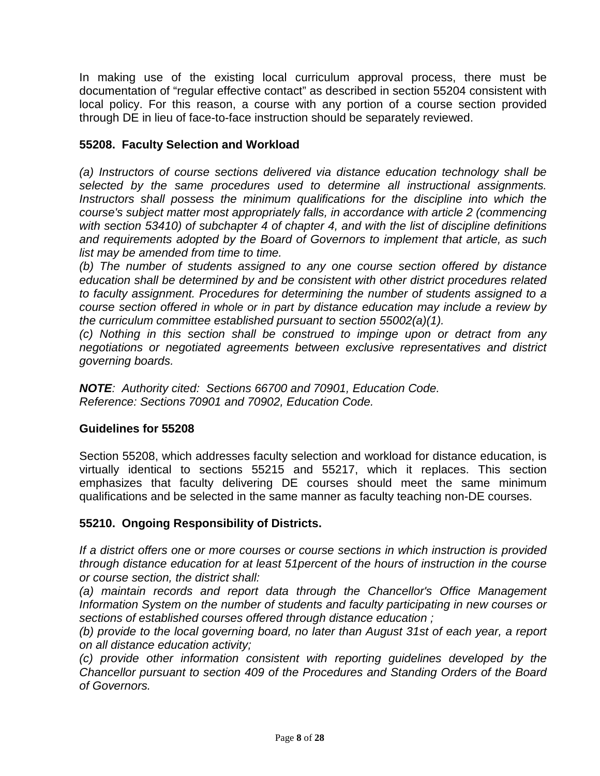In making use of the existing local curriculum approval process, there must be documentation of "regular effective contact" as described in section 55204 consistent with local policy. For this reason, a course with any portion of a course section provided through DE in lieu of face-to-face instruction should be separately reviewed.

#### **55208. Faculty Selection and Workload**

*(a) Instructors of course sections delivered via distance education technology shall be selected by the same procedures used to determine all instructional assignments. Instructors shall possess the minimum qualifications for the discipline into which the course's subject matter most appropriately falls, in accordance with article 2 (commencing with section 53410) of subchapter 4 of chapter 4, and with the list of discipline definitions and requirements adopted by the Board of Governors to implement that article, as such list may be amended from time to time.*

*(b) The number of students assigned to any one course section offered by distance education shall be determined by and be consistent with other district procedures related to faculty assignment. Procedures for determining the number of students assigned to a course section offered in whole or in part by distance education may include a review by the curriculum committee established pursuant to section 55002(a)(1).*

*(c) Nothing in this section shall be construed to impinge upon or detract from any negotiations or negotiated agreements between exclusive representatives and district governing boards.*

*NOTE: Authority cited: Sections 66700 and 70901, Education Code. Reference: Sections 70901 and 70902, Education Code.* 

#### **Guidelines for 55208**

Section 55208, which addresses faculty selection and workload for distance education, is virtually identical to sections 55215 and 55217, which it replaces. This section emphasizes that faculty delivering DE courses should meet the same minimum qualifications and be selected in the same manner as faculty teaching non-DE courses.

#### **55210. Ongoing Responsibility of Districts.**

*If a district offers one or more courses or course sections in which instruction is provided through distance education for at least 51percent of the hours of instruction in the course or course section, the district shall:*

*(a) maintain records and report data through the Chancellor's Office Management Information System on the number of students and faculty participating in new courses or sections of established courses offered through distance education ;*

*(b) provide to the local governing board, no later than August 31st of each year, a report on all distance education activity;*

*(c) provide other information consistent with reporting guidelines developed by the Chancellor pursuant to section 409 of the Procedures and Standing Orders of the Board of Governors.*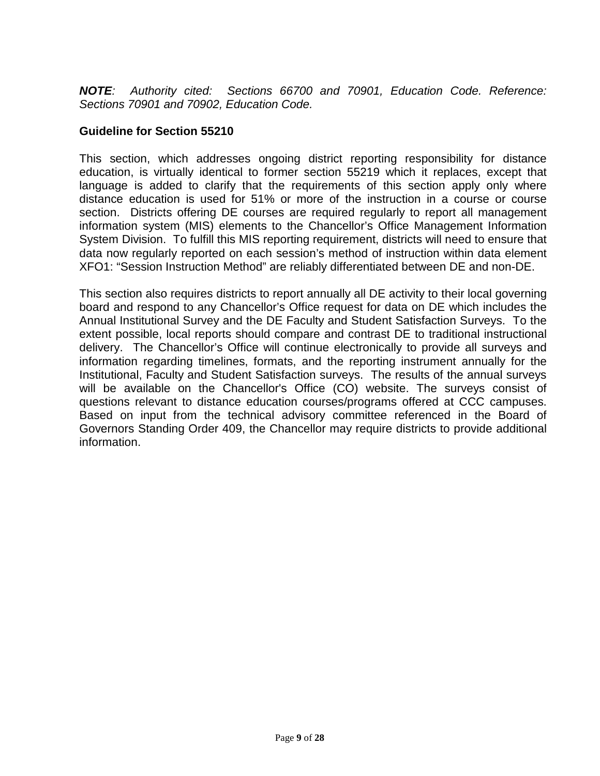*NOTE: Authority cited: Sections 66700 and 70901, Education Code. Reference: Sections 70901 and 70902, Education Code.*

#### **Guideline for Section 55210**

This section, which addresses ongoing district reporting responsibility for distance education, is virtually identical to former section 55219 which it replaces, except that language is added to clarify that the requirements of this section apply only where distance education is used for 51% or more of the instruction in a course or course section. Districts offering DE courses are required regularly to report all management information system (MIS) elements to the Chancellor's Office Management Information System Division. To fulfill this MIS reporting requirement, districts will need to ensure that data now regularly reported on each session's method of instruction within data element XFO1: "Session Instruction Method" are reliably differentiated between DE and non-DE.

This section also requires districts to report annually all DE activity to their local governing board and respond to any Chancellor's Office request for data on DE which includes the Annual Institutional Survey and the DE Faculty and Student Satisfaction Surveys. To the extent possible, local reports should compare and contrast DE to traditional instructional delivery. The Chancellor's Office will continue electronically to provide all surveys and information regarding timelines, formats, and the reporting instrument annually for the Institutional, Faculty and Student Satisfaction surveys. The results of the annual surveys will be available on the Chancellor's Office (CO) website. The surveys consist of questions relevant to distance education courses/programs offered at CCC campuses. Based on input from the technical advisory committee referenced in the Board of Governors Standing Order 409, the Chancellor may require districts to provide additional information.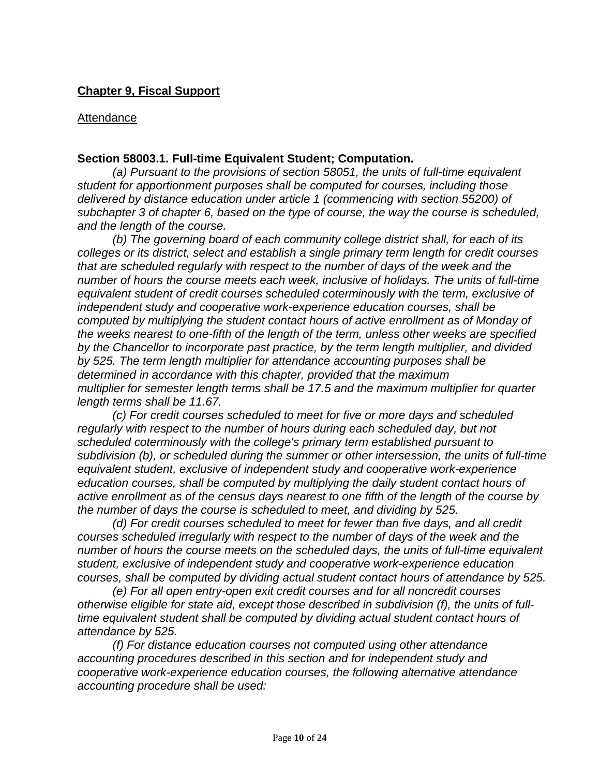#### **Chapter 9, Fiscal Support**

#### Attendance

#### **Section 58003.1. Full-time Equivalent Student; Computation.**

*(a) Pursuant to the provisions of section 58051, the units of full-time equivalent student for apportionment purposes shall be computed for courses, including those delivered by distance education under article 1 (commencing with section 55200) of subchapter 3 of chapter 6, based on the type of course, the way the course is scheduled, and the length of the course.*

*(b) The governing board of each community college district shall, for each of its colleges or its district, select and establish a single primary term length for credit courses that are scheduled regularly with respect to the number of days of the week and the number of hours the course meets each week, inclusive of holidays. The units of full-time equivalent student of credit courses scheduled coterminously with the term, exclusive of independent study and cooperative work-experience education courses, shall be computed by multiplying the student contact hours of active enrollment as of Monday of the weeks nearest to one-fifth of the length of the term, unless other weeks are specified by the Chancellor to incorporate past practice, by the term length multiplier, and divided by 525. The term length multiplier for attendance accounting purposes shall be determined in accordance with this chapter, provided that the maximum multiplier for semester length terms shall be 17.5 and the maximum multiplier for quarter length terms shall be 11.67.*

*(c) For credit courses scheduled to meet for five or more days and scheduled*  regularly with respect to the number of hours during each scheduled day, but not *scheduled coterminously with the college's primary term established pursuant to subdivision (b), or scheduled during the summer or other intersession, the units of full-time equivalent student, exclusive of independent study and cooperative work-experience education courses, shall be computed by multiplying the daily student contact hours of active enrollment as of the census days nearest to one fifth of the length of the course by the number of days the course is scheduled to meet, and dividing by 525.*

*(d) For credit courses scheduled to meet for fewer than five days, and all credit courses scheduled irregularly with respect to the number of days of the week and the number of hours the course meets on the scheduled days, the units of full-time equivalent student, exclusive of independent study and cooperative work-experience education courses, shall be computed by dividing actual student contact hours of attendance by 525.*

*(e) For all open entry-open exit credit courses and for all noncredit courses otherwise eligible for state aid, except those described in subdivision (f), the units of fulltime equivalent student shall be computed by dividing actual student contact hours of attendance by 525.*

*(f) For distance education courses not computed using other attendance accounting procedures described in this section and for independent study and cooperative work-experience education courses, the following alternative attendance accounting procedure shall be used:*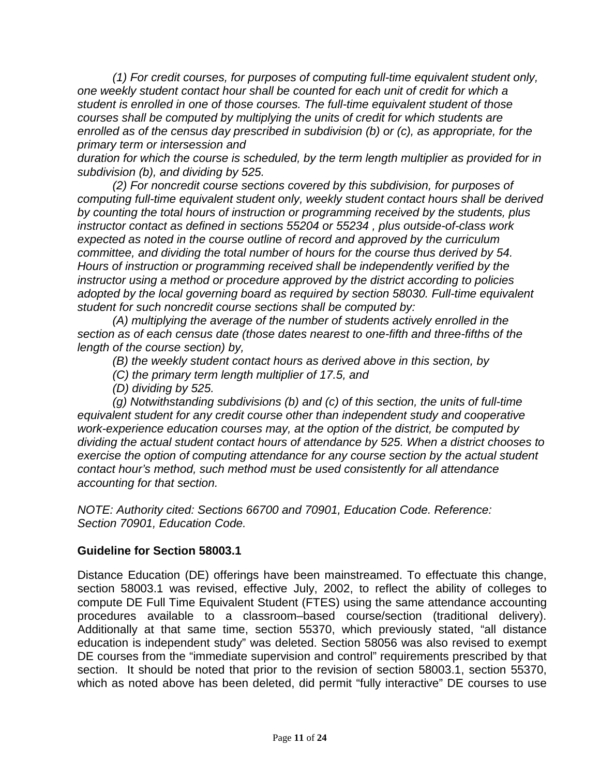*(1) For credit courses, for purposes of computing full-time equivalent student only, one weekly student contact hour shall be counted for each unit of credit for which a student is enrolled in one of those courses. The full-time equivalent student of those courses shall be computed by multiplying the units of credit for which students are enrolled as of the census day prescribed in subdivision (b) or (c), as appropriate, for the primary term or intersession and* 

*duration for which the course is scheduled, by the term length multiplier as provided for in subdivision (b), and dividing by 525.*

*(2) For noncredit course sections covered by this subdivision, for purposes of computing full-time equivalent student only, weekly student contact hours shall be derived by counting the total hours of instruction or programming received by the students, plus instructor contact as defined in sections 55204 or 55234 , plus outside-of-class work expected as noted in the course outline of record and approved by the curriculum committee, and dividing the total number of hours for the course thus derived by 54. Hours of instruction or programming received shall be independently verified by the instructor using a method or procedure approved by the district according to policies adopted by the local governing board as required by section 58030. Full-time equivalent student for such noncredit course sections shall be computed by:*

*(A) multiplying the average of the number of students actively enrolled in the section as of each census date (those dates nearest to one-fifth and three-fifths of the length of the course section) by,*

*(B) the weekly student contact hours as derived above in this section, by*

*(C) the primary term length multiplier of 17.5, and*

*(D) dividing by 525.*

*(g) Notwithstanding subdivisions (b) and (c) of this section, the units of full-time equivalent student for any credit course other than independent study and cooperative work-experience education courses may, at the option of the district, be computed by dividing the actual student contact hours of attendance by 525. When a district chooses to exercise the option of computing attendance for any course section by the actual student contact hour's method, such method must be used consistently for all attendance accounting for that section.*

*NOTE: Authority cited: Sections 66700 and 70901, Education Code. Reference: Section 70901, Education Code.* 

#### **Guideline for Section 58003.1**

Distance Education (DE) offerings have been mainstreamed. To effectuate this change, section 58003.1 was revised, effective July, 2002, to reflect the ability of colleges to compute DE Full Time Equivalent Student (FTES) using the same attendance accounting procedures available to a classroom–based course/section (traditional delivery). Additionally at that same time, section 55370, which previously stated, "all distance education is independent study" was deleted. Section 58056 was also revised to exempt DE courses from the "immediate supervision and control" requirements prescribed by that section. It should be noted that prior to the revision of section 58003.1, section 55370, which as noted above has been deleted, did permit "fully interactive" DE courses to use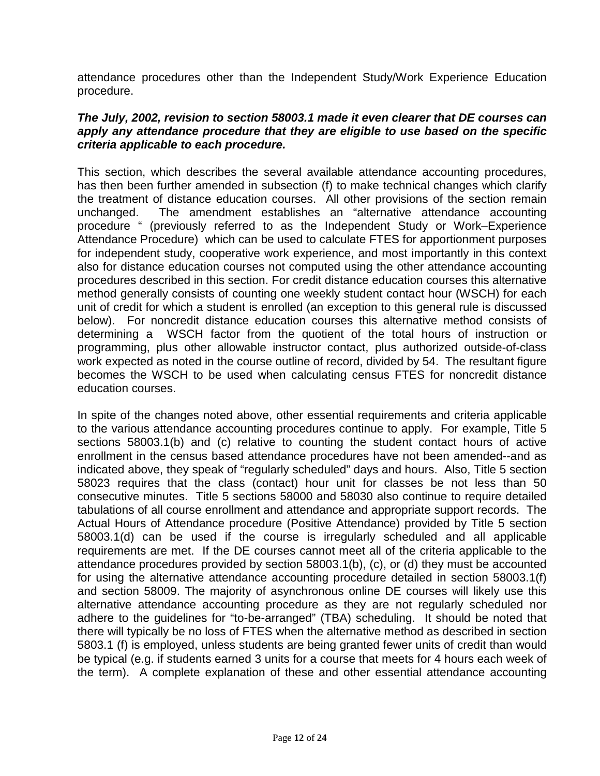attendance procedures other than the Independent Study/Work Experience Education procedure.

#### *The July, 2002, revision to section 58003.1 made it even clearer that DE courses can apply any attendance procedure that they are eligible to use based on the specific criteria applicable to each procedure.*

This section, which describes the several available attendance accounting procedures, has then been further amended in subsection (f) to make technical changes which clarify the treatment of distance education courses. All other provisions of the section remain unchanged. The amendment establishes an "alternative attendance accounting procedure " (previously referred to as the Independent Study or Work–Experience Attendance Procedure) which can be used to calculate FTES for apportionment purposes for independent study, cooperative work experience, and most importantly in this context also for distance education courses not computed using the other attendance accounting procedures described in this section. For credit distance education courses this alternative method generally consists of counting one weekly student contact hour (WSCH) for each unit of credit for which a student is enrolled (an exception to this general rule is discussed below). For noncredit distance education courses this alternative method consists of determining a WSCH factor from the quotient of the total hours of instruction or programming, plus other allowable instructor contact, plus authorized outside-of-class work expected as noted in the course outline of record, divided by 54. The resultant figure becomes the WSCH to be used when calculating census FTES for noncredit distance education courses.

In spite of the changes noted above, other essential requirements and criteria applicable to the various attendance accounting procedures continue to apply. For example, Title 5 sections 58003.1(b) and (c) relative to counting the student contact hours of active enrollment in the census based attendance procedures have not been amended--and as indicated above, they speak of "regularly scheduled" days and hours. Also, Title 5 section 58023 requires that the class (contact) hour unit for classes be not less than 50 consecutive minutes. Title 5 sections 58000 and 58030 also continue to require detailed tabulations of all course enrollment and attendance and appropriate support records. The Actual Hours of Attendance procedure (Positive Attendance) provided by Title 5 section 58003.1(d) can be used if the course is irregularly scheduled and all applicable requirements are met. If the DE courses cannot meet all of the criteria applicable to the attendance procedures provided by section 58003.1(b), (c), or (d) they must be accounted for using the alternative attendance accounting procedure detailed in section 58003.1(f) and section 58009. The majority of asynchronous online DE courses will likely use this alternative attendance accounting procedure as they are not regularly scheduled nor adhere to the guidelines for "to-be-arranged" (TBA) scheduling. It should be noted that there will typically be no loss of FTES when the alternative method as described in section 5803.1 (f) is employed, unless students are being granted fewer units of credit than would be typical (e.g. if students earned 3 units for a course that meets for 4 hours each week of the term). A complete explanation of these and other essential attendance accounting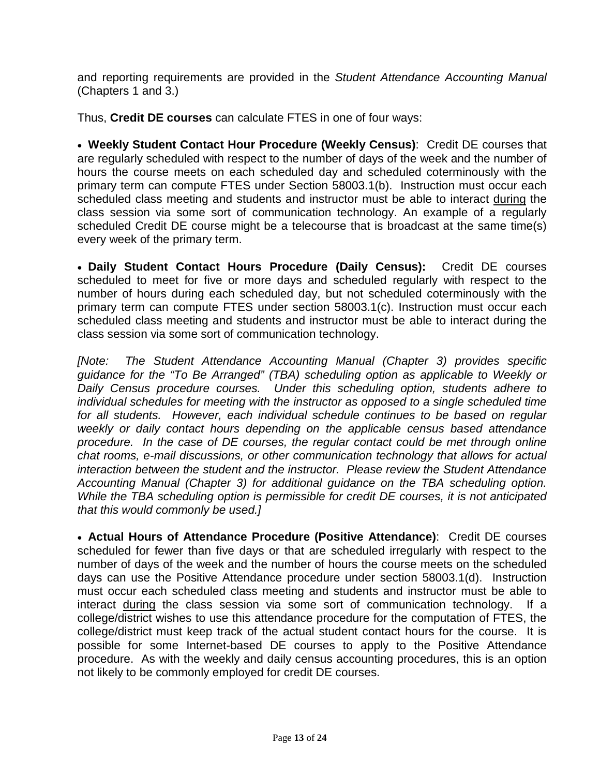and reporting requirements are provided in the *Student Attendance Accounting Manual* (Chapters 1 and 3.)

Thus, **Credit DE courses** can calculate FTES in one of four ways:

• **Weekly Student Contact Hour Procedure (Weekly Census)**: Credit DE courses that are regularly scheduled with respect to the number of days of the week and the number of hours the course meets on each scheduled day and scheduled coterminously with the primary term can compute FTES under Section 58003.1(b). Instruction must occur each scheduled class meeting and students and instructor must be able to interact during the class session via some sort of communication technology. An example of a regularly scheduled Credit DE course might be a telecourse that is broadcast at the same time(s) every week of the primary term.

• **Daily Student Contact Hours Procedure (Daily Census):** Credit DE courses scheduled to meet for five or more days and scheduled regularly with respect to the number of hours during each scheduled day, but not scheduled coterminously with the primary term can compute FTES under section 58003.1(c). Instruction must occur each scheduled class meeting and students and instructor must be able to interact during the class session via some sort of communication technology.

*[Note: The Student Attendance Accounting Manual (Chapter 3) provides specific guidance for the "To Be Arranged" (TBA) scheduling option as applicable to Weekly or Daily Census procedure courses. Under this scheduling option, students adhere to individual schedules for meeting with the instructor as opposed to a single scheduled time for all students. However, each individual schedule continues to be based on regular weekly or daily contact hours depending on the applicable census based attendance procedure. In the case of DE courses, the regular contact could be met through online chat rooms, e-mail discussions, or other communication technology that allows for actual interaction between the student and the instructor. Please review the Student Attendance Accounting Manual (Chapter 3) for additional guidance on the TBA scheduling option. While the TBA scheduling option is permissible for credit DE courses, it is not anticipated that this would commonly be used.]*

• **Actual Hours of Attendance Procedure (Positive Attendance)**: Credit DE courses scheduled for fewer than five days or that are scheduled irregularly with respect to the number of days of the week and the number of hours the course meets on the scheduled days can use the Positive Attendance procedure under section 58003.1(d). Instruction must occur each scheduled class meeting and students and instructor must be able to interact during the class session via some sort of communication technology. If a college/district wishes to use this attendance procedure for the computation of FTES, the college/district must keep track of the actual student contact hours for the course. It is possible for some Internet-based DE courses to apply to the Positive Attendance procedure. As with the weekly and daily census accounting procedures, this is an option not likely to be commonly employed for credit DE courses.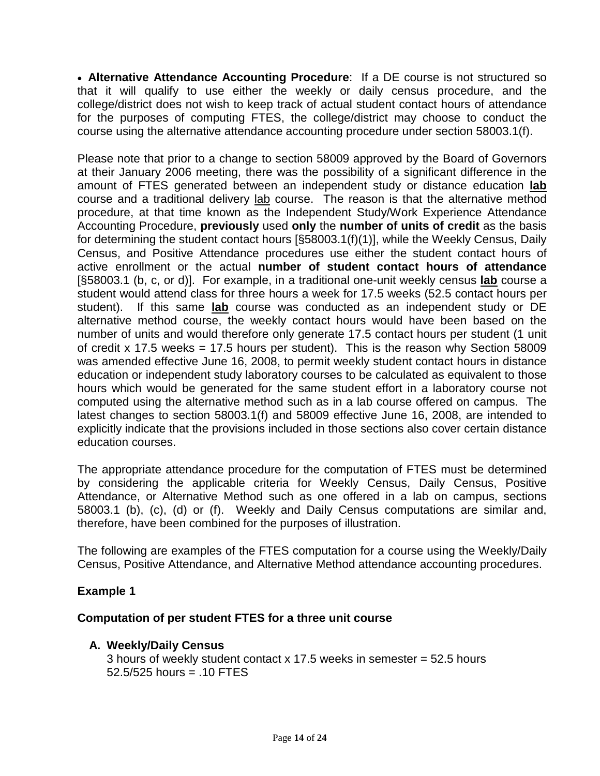• **Alternative Attendance Accounting Procedure**: If a DE course is not structured so that it will qualify to use either the weekly or daily census procedure, and the college/district does not wish to keep track of actual student contact hours of attendance for the purposes of computing FTES, the college/district may choose to conduct the course using the alternative attendance accounting procedure under section 58003.1(f).

Please note that prior to a change to section 58009 approved by the Board of Governors at their January 2006 meeting, there was the possibility of a significant difference in the amount of FTES generated between an independent study or distance education **lab** course and a traditional delivery lab course. The reason is that the alternative method procedure, at that time known as the Independent Study/Work Experience Attendance Accounting Procedure, **previously** used **only** the **number of units of credit** as the basis for determining the student contact hours [§58003.1(f)(1)], while the Weekly Census, Daily Census, and Positive Attendance procedures use either the student contact hours of active enrollment or the actual **number of student contact hours of attendance**  [§58003.1 (b, c, or d)]. For example, in a traditional one-unit weekly census **lab** course a student would attend class for three hours a week for 17.5 weeks (52.5 contact hours per student). If this same **lab** course was conducted as an independent study or DE alternative method course, the weekly contact hours would have been based on the number of units and would therefore only generate 17.5 contact hours per student (1 unit of credit x 17.5 weeks = 17.5 hours per student). This is the reason why Section 58009 was amended effective June 16, 2008, to permit weekly student contact hours in distance education or independent study laboratory courses to be calculated as equivalent to those hours which would be generated for the same student effort in a laboratory course not computed using the alternative method such as in a lab course offered on campus. The latest changes to section 58003.1(f) and 58009 effective June 16, 2008, are intended to explicitly indicate that the provisions included in those sections also cover certain distance education courses.

The appropriate attendance procedure for the computation of FTES must be determined by considering the applicable criteria for Weekly Census, Daily Census, Positive Attendance, or Alternative Method such as one offered in a lab on campus, sections 58003.1 (b), (c), (d) or (f). Weekly and Daily Census computations are similar and, therefore, have been combined for the purposes of illustration.

The following are examples of the FTES computation for a course using the Weekly/Daily Census, Positive Attendance, and Alternative Method attendance accounting procedures.

#### **Example 1**

#### **Computation of per student FTES for a three unit course**

#### **A. Weekly/Daily Census**

3 hours of weekly student contact x 17.5 weeks in semester = 52.5 hours  $52.5/525$  hours =  $.10$  FTES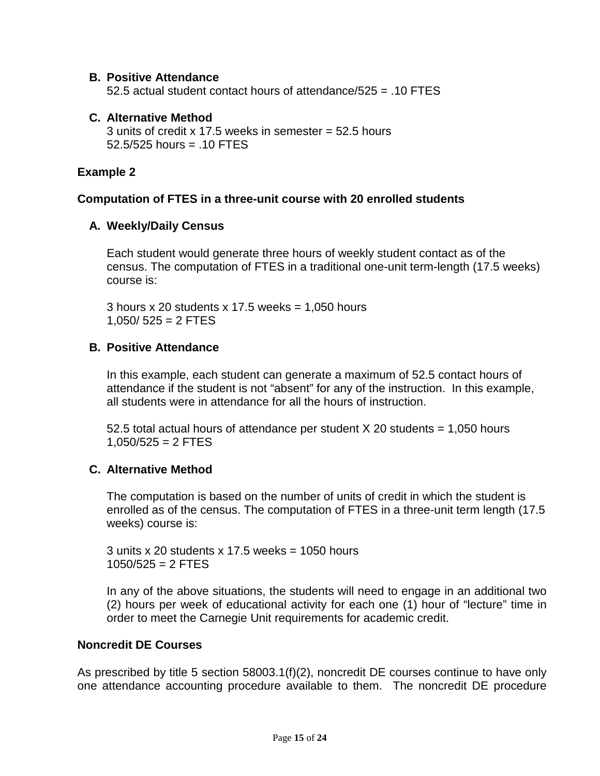#### **B. Positive Attendance**

52.5 actual student contact hours of attendance/ $525 = 0.10$  FTES

#### **C. Alternative Method**

3 units of credit x 17.5 weeks in semester  $=$  52.5 hours  $52.5/525$  hours =  $.10$  FTES

#### **Example 2**

#### **Computation of FTES in a three-unit course with 20 enrolled students**

#### **A. Weekly/Daily Census**

Each student would generate three hours of weekly student contact as of the census. The computation of FTES in a traditional one-unit term-length (17.5 weeks) course is:

3 hours x 20 students x 17.5 weeks  $= 1,050$  hours  $1,050/525 = 2$  FTES

#### **B. Positive Attendance**

In this example, each student can generate a maximum of 52.5 contact hours of attendance if the student is not "absent" for any of the instruction. In this example, all students were in attendance for all the hours of instruction.

52.5 total actual hours of attendance per student X 20 students = 1,050 hours  $1,050/525 = 2$  FTES

#### **C. Alternative Method**

The computation is based on the number of units of credit in which the student is enrolled as of the census. The computation of FTES in a three-unit term length (17.5 weeks) course is:

3 units x 20 students x 17.5 weeks =  $1050$  hours  $1050/525 = 2$  FTES

In any of the above situations, the students will need to engage in an additional two (2) hours per week of educational activity for each one (1) hour of "lecture" time in order to meet the Carnegie Unit requirements for academic credit.

#### **Noncredit DE Courses**

As prescribed by title 5 section 58003.1(f)(2), noncredit DE courses continue to have only one attendance accounting procedure available to them. The noncredit DE procedure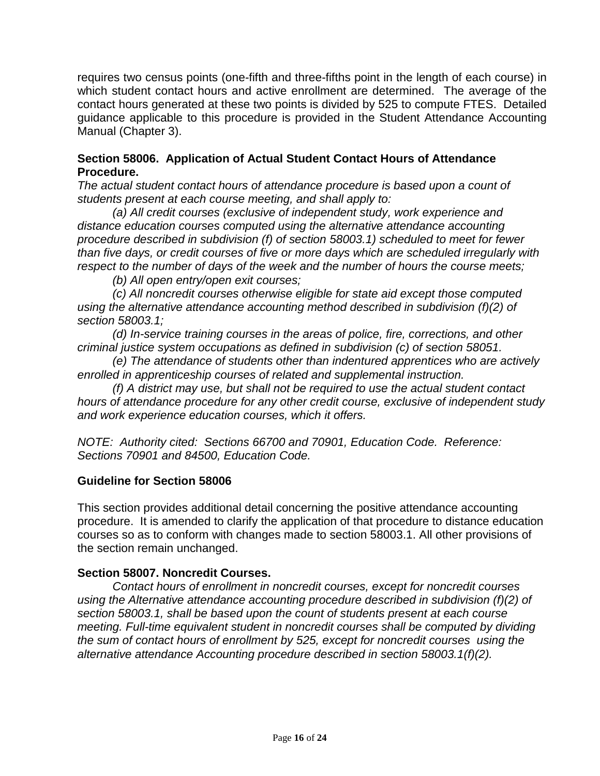requires two census points (one-fifth and three-fifths point in the length of each course) in which student contact hours and active enrollment are determined. The average of the contact hours generated at these two points is divided by 525 to compute FTES. Detailed guidance applicable to this procedure is provided in the Student Attendance Accounting Manual (Chapter 3).

#### **Section 58006. Application of Actual Student Contact Hours of Attendance Procedure.**

*The actual student contact hours of attendance procedure is based upon a count of students present at each course meeting, and shall apply to:*

*(a) All credit courses (exclusive of independent study, work experience and distance education courses computed using the alternative attendance accounting procedure described in subdivision (f) of section 58003.1) scheduled to meet for fewer than five days, or credit courses of five or more days which are scheduled irregularly with respect to the number of days of the week and the number of hours the course meets;*

*(b) All open entry/open exit courses;*

*(c) All noncredit courses otherwise eligible for state aid except those computed using the alternative attendance accounting method described in subdivision (f)(2) of section 58003.1;*

*(d) In-service training courses in the areas of police, fire, corrections, and other criminal justice system occupations as defined in subdivision (c) of section 58051.*

*(e) The attendance of students other than indentured apprentices who are actively enrolled in apprenticeship courses of related and supplemental instruction.*

*(f) A district may use, but shall not be required to use the actual student contact hours of attendance procedure for any other credit course, exclusive of independent study and work experience education courses, which it offers.*

*NOTE: Authority cited: Sections 66700 and 70901, Education Code. Reference: Sections 70901 and 84500, Education Code.*

#### **Guideline for Section 58006**

This section provides additional detail concerning the positive attendance accounting procedure. It is amended to clarify the application of that procedure to distance education courses so as to conform with changes made to section 58003.1. All other provisions of the section remain unchanged.

#### **Section 58007. Noncredit Courses.**

*Contact hours of enrollment in noncredit courses, except for noncredit courses using the Alternative attendance accounting procedure described in subdivision (f)(2) of section 58003.1, shall be based upon the count of students present at each course meeting. Full-time equivalent student in noncredit courses shall be computed by dividing the sum of contact hours of enrollment by 525, except for noncredit courses using the alternative attendance Accounting procedure described in section 58003.1(f)(2).*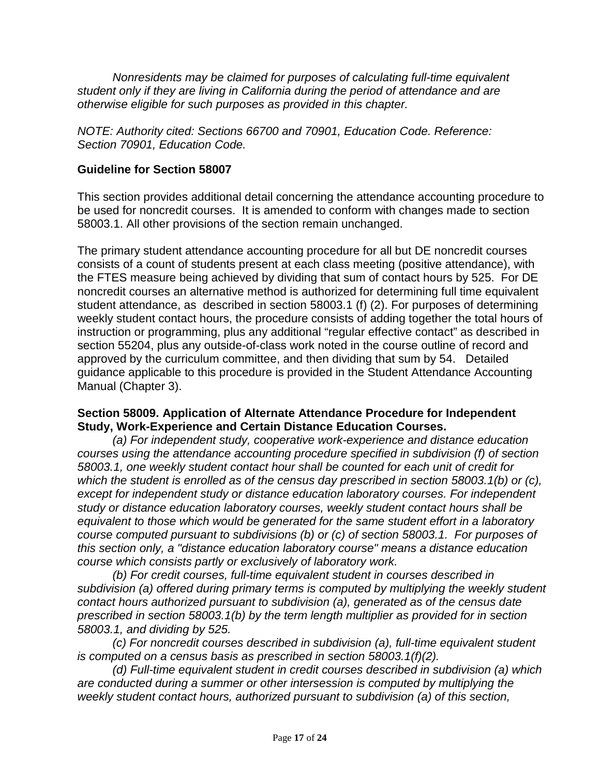*Nonresidents may be claimed for purposes of calculating full-time equivalent student only if they are living in California during the period of attendance and are otherwise eligible for such purposes as provided in this chapter.*

*NOTE: Authority cited: Sections 66700 and 70901, Education Code. Reference: Section 70901, Education Code.* 

#### **Guideline for Section 58007**

This section provides additional detail concerning the attendance accounting procedure to be used for noncredit courses. It is amended to conform with changes made to section 58003.1. All other provisions of the section remain unchanged.

The primary student attendance accounting procedure for all but DE noncredit courses consists of a count of students present at each class meeting (positive attendance), with the FTES measure being achieved by dividing that sum of contact hours by 525. For DE noncredit courses an alternative method is authorized for determining full time equivalent student attendance, as described in section 58003.1 (f) (2). For purposes of determining weekly student contact hours, the procedure consists of adding together the total hours of instruction or programming, plus any additional "regular effective contact" as described in section 55204, plus any outside-of-class work noted in the course outline of record and approved by the curriculum committee, and then dividing that sum by 54. Detailed guidance applicable to this procedure is provided in the Student Attendance Accounting Manual (Chapter 3).

#### **Section 58009. Application of Alternate Attendance Procedure for Independent Study, Work-Experience and Certain Distance Education Courses.**

*(a) For independent study, cooperative work-experience and distance education courses using the attendance accounting procedure specified in subdivision (f) of section 58003.1, one weekly student contact hour shall be counted for each unit of credit for which the student is enrolled as of the census day prescribed in section 58003.1(b) or (c), except for independent study or distance education laboratory courses. For independent study or distance education laboratory courses, weekly student contact hours shall be equivalent to those which would be generated for the same student effort in a laboratory course computed pursuant to subdivisions (b) or (c) of section 58003.1. For purposes of this section only, a "distance education laboratory course" means a distance education course which consists partly or exclusively of laboratory work.* 

*(b) For credit courses, full-time equivalent student in courses described in subdivision (a) offered during primary terms is computed by multiplying the weekly student contact hours authorized pursuant to subdivision (a), generated as of the census date prescribed in section 58003.1(b) by the term length multiplier as provided for in section 58003.1, and dividing by 525.*

*(c) For noncredit courses described in subdivision (a), full-time equivalent student is computed on a census basis as prescribed in section 58003.1(f)(2).*

*(d) Full-time equivalent student in credit courses described in subdivision (a) which are conducted during a summer or other intersession is computed by multiplying the weekly student contact hours, authorized pursuant to subdivision (a) of this section,*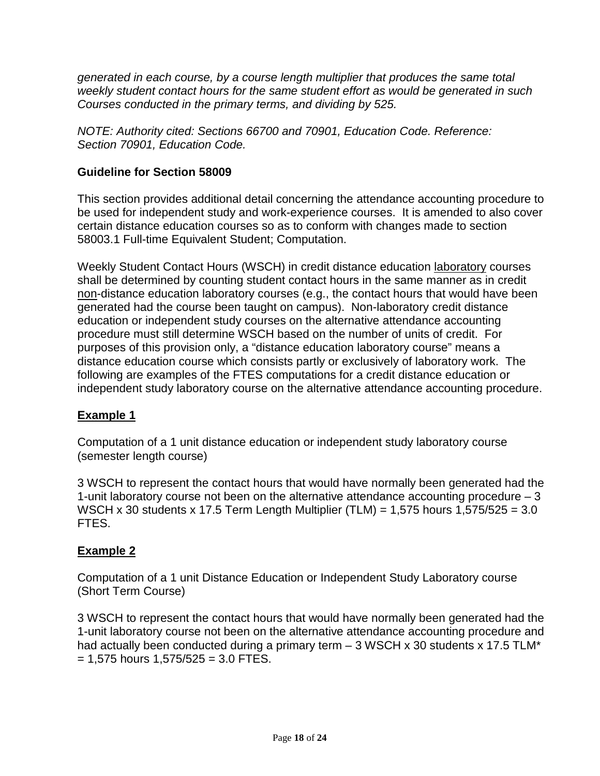*generated in each course, by a course length multiplier that produces the same total weekly student contact hours for the same student effort as would be generated in such Courses conducted in the primary terms, and dividing by 525.*

*NOTE: Authority cited: Sections 66700 and 70901, Education Code. Reference: Section 70901, Education Code.* 

#### **Guideline for Section 58009**

This section provides additional detail concerning the attendance accounting procedure to be used for independent study and work-experience courses. It is amended to also cover certain distance education courses so as to conform with changes made to section 58003.1 Full-time Equivalent Student; Computation.

Weekly Student Contact Hours (WSCH) in credit distance education laboratory courses shall be determined by counting student contact hours in the same manner as in credit non-distance education laboratory courses (e.g., the contact hours that would have been generated had the course been taught on campus). Non-laboratory credit distance education or independent study courses on the alternative attendance accounting procedure must still determine WSCH based on the number of units of credit. For purposes of this provision only, a "distance education laboratory course" means a distance education course which consists partly or exclusively of laboratory work. The following are examples of the FTES computations for a credit distance education or independent study laboratory course on the alternative attendance accounting procedure.

#### **Example 1**

Computation of a 1 unit distance education or independent study laboratory course (semester length course)

3 WSCH to represent the contact hours that would have normally been generated had the 1-unit laboratory course not been on the alternative attendance accounting procedure – 3 WSCH x 30 students x 17.5 Term Length Multiplier (TLM) = 1,575 hours 1,575/525 = 3.0 FTES.

#### **Example 2**

Computation of a 1 unit Distance Education or Independent Study Laboratory course (Short Term Course)

3 WSCH to represent the contact hours that would have normally been generated had the 1-unit laboratory course not been on the alternative attendance accounting procedure and had actually been conducted during a primary term - 3 WSCH x 30 students x 17.5 TLM\*  $= 1,575$  hours  $1,575/525 = 3.0$  FTES.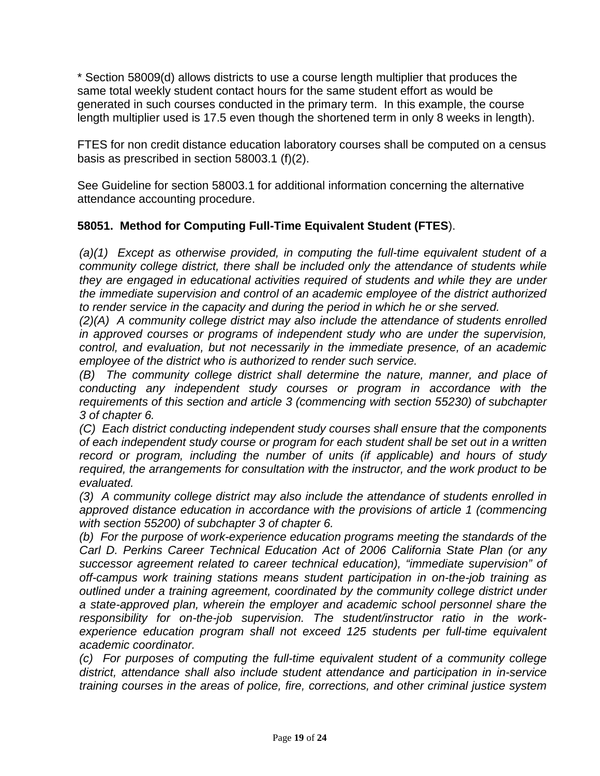\* Section 58009(d) allows districts to use a course length multiplier that produces the same total weekly student contact hours for the same student effort as would be generated in such courses conducted in the primary term. In this example, the course length multiplier used is 17.5 even though the shortened term in only 8 weeks in length).

FTES for non credit distance education laboratory courses shall be computed on a census basis as prescribed in section 58003.1 (f)(2).

See Guideline for section 58003.1 for additional information concerning the alternative attendance accounting procedure.

#### **58051. Method for Computing Full-Time Equivalent Student (FTES**).

*(a)(1) Except as otherwise provided, in computing the full-time equivalent student of a community college district, there shall be included only the attendance of students while they are engaged in educational activities required of students and while they are under the immediate supervision and control of an academic employee of the district authorized to render service in the capacity and during the period in which he or she served.*

*(2)(A) A community college district may also include the attendance of students enrolled in approved courses or programs of independent study who are under the supervision, control, and evaluation, but not necessarily in the immediate presence, of an academic employee of the district who is authorized to render such service.* 

*(B) The community college district shall determine the nature, manner, and place of conducting any independent study courses or program in accordance with the requirements of this section and article 3 (commencing with section 55230) of subchapter 3 of chapter 6.* 

*(C) Each district conducting independent study courses shall ensure that the components of each independent study course or program for each student shall be set out in a written record or program, including the number of units (if applicable) and hours of study required, the arrangements for consultation with the instructor, and the work product to be evaluated.*

*(3) A community college district may also include the attendance of students enrolled in approved distance education in accordance with the provisions of article 1 (commencing with section 55200) of subchapter 3 of chapter 6.*

*(b) For the purpose of work-experience education programs meeting the standards of the Carl D. Perkins Career Technical Education Act of 2006 California State Plan (or any successor agreement related to career technical education), "immediate supervision" of off-campus work training stations means student participation in on-the-job training as outlined under a training agreement, coordinated by the community college district under a state-approved plan, wherein the employer and academic school personnel share the responsibility for on-the-job supervision. The student/instructor ratio in the work*experience education program shall not exceed 125 students per full-time equivalent *academic coordinator.*

*(c) For purposes of computing the full-time equivalent student of a community college district, attendance shall also include student attendance and participation in in-service training courses in the areas of police, fire, corrections, and other criminal justice system*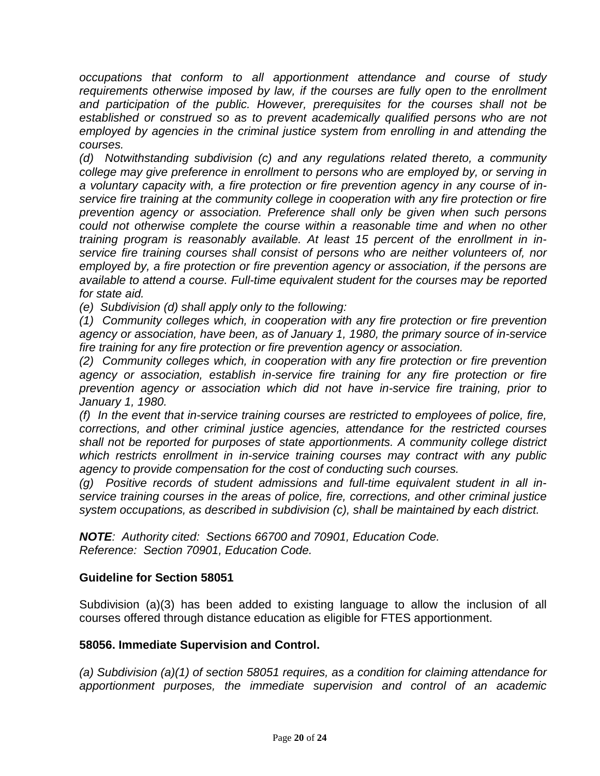*occupations that conform to all apportionment attendance and course of study*  requirements otherwise imposed by law, if the courses are fully open to the enrollment and participation of the public. However, prerequisites for the courses shall not be *established or construed so as to prevent academically qualified persons who are not employed by agencies in the criminal justice system from enrolling in and attending the courses.*

*(d) Notwithstanding subdivision (c) and any regulations related thereto, a community college may give preference in enrollment to persons who are employed by, or serving in a voluntary capacity with, a fire protection or fire prevention agency in any course of inservice fire training at the community college in cooperation with any fire protection or fire prevention agency or association. Preference shall only be given when such persons could not otherwise complete the course within a reasonable time and when no other training program is reasonably available. At least 15 percent of the enrollment in inservice fire training courses shall consist of persons who are neither volunteers of, nor employed by, a fire protection or fire prevention agency or association, if the persons are available to attend a course. Full-time equivalent student for the courses may be reported for state aid.*

*(e) Subdivision (d) shall apply only to the following:*

*(1) Community colleges which, in cooperation with any fire protection or fire prevention agency or association, have been, as of January 1, 1980, the primary source of in-service fire training for any fire protection or fire prevention agency or association.*

*(2) Community colleges which, in cooperation with any fire protection or fire prevention*  agency or association, establish in-service fire training for any fire protection or fire *prevention agency or association which did not have in-service fire training, prior to January 1, 1980.*

*(f) In the event that in-service training courses are restricted to employees of police, fire, corrections, and other criminal justice agencies, attendance for the restricted courses shall not be reported for purposes of state apportionments. A community college district which restricts enrollment in in-service training courses may contract with any public agency to provide compensation for the cost of conducting such courses.*

*(g) Positive records of student admissions and full-time equivalent student in all inservice training courses in the areas of police, fire, corrections, and other criminal justice system occupations, as described in subdivision (c), shall be maintained by each district.*

*NOTE: Authority cited: Sections 66700 and 70901, Education Code. Reference: Section 70901, Education Code.*

#### **Guideline for Section 58051**

Subdivision (a)(3) has been added to existing language to allow the inclusion of all courses offered through distance education as eligible for FTES apportionment.

#### **58056. Immediate Supervision and Control.**

*(a) Subdivision (a)(1) of section 58051 requires, as a condition for claiming attendance for apportionment purposes, the immediate supervision and control of an academic*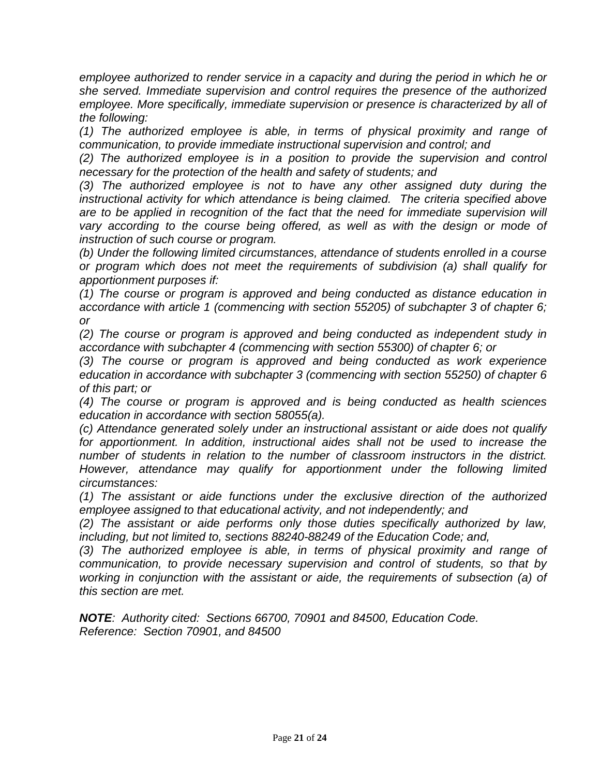*employee authorized to render service in a capacity and during the period in which he or she served. Immediate supervision and control requires the presence of the authorized*  employee. More specifically, immediate supervision or presence is characterized by all of *the following:*

*(1) The authorized employee is able, in terms of physical proximity and range of communication, to provide immediate instructional supervision and control; and*

*(2) The authorized employee is in a position to provide the supervision and control necessary for the protection of the health and safety of students; and* 

*(3) The authorized employee is not to have any other assigned duty during the instructional activity for which attendance is being claimed. The criteria specified above are to be applied in recognition of the fact that the need for immediate supervision will*  vary according to the course being offered, as well as with the design or mode of *instruction of such course or program.*

*(b) Under the following limited circumstances, attendance of students enrolled in a course or program which does not meet the requirements of subdivision (a) shall qualify for apportionment purposes if:*

*(1) The course or program is approved and being conducted as distance education in accordance with article 1 (commencing with section 55205) of subchapter 3 of chapter 6; or* 

*(2) The course or program is approved and being conducted as independent study in accordance with subchapter 4 (commencing with section 55300) of chapter 6; or*

*(3) The course or program is approved and being conducted as work experience education in accordance with subchapter 3 (commencing with section 55250) of chapter 6 of this part; or*

*(4) The course or program is approved and is being conducted as health sciences education in accordance with section 58055(a).* 

*(c) Attendance generated solely under an instructional assistant or aide does not qualify*  for apportionment. In addition, instructional aides shall not be used to increase the *number of students in relation to the number of classroom instructors in the district. However, attendance may qualify for apportionment under the following limited circumstances:*

*(1) The assistant or aide functions under the exclusive direction of the authorized employee assigned to that educational activity, and not independently; and*

*(2) The assistant or aide performs only those duties specifically authorized by law, including, but not limited to, sections 88240-88249 of the Education Code; and,*

*(3) The authorized employee is able, in terms of physical proximity and range of communication, to provide necessary supervision and control of students, so that by working in conjunction with the assistant or aide, the requirements of subsection (a) of this section are met.*

*NOTE: Authority cited: Sections 66700, 70901 and 84500, Education Code. Reference: Section 70901, and 84500*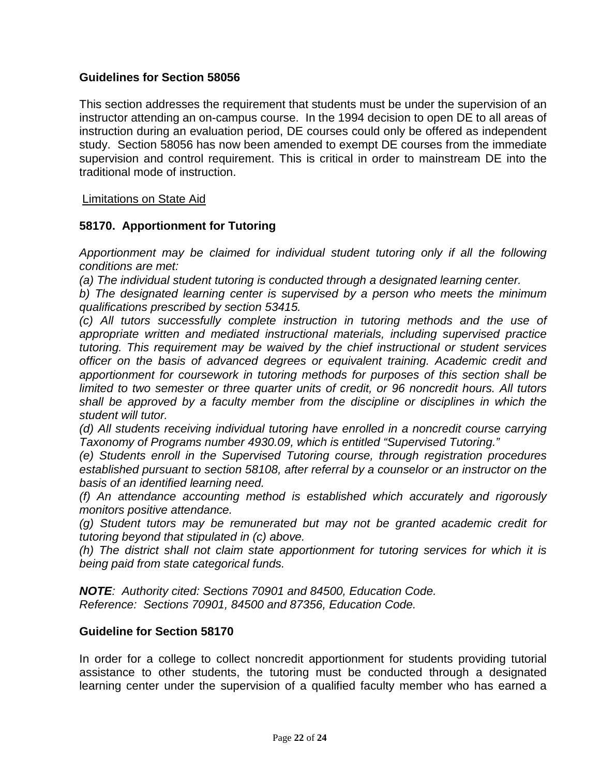#### **Guidelines for Section 58056**

This section addresses the requirement that students must be under the supervision of an instructor attending an on-campus course. In the 1994 decision to open DE to all areas of instruction during an evaluation period, DE courses could only be offered as independent study. Section 58056 has now been amended to exempt DE courses from the immediate supervision and control requirement. This is critical in order to mainstream DE into the traditional mode of instruction.

#### Limitations on State Aid

#### **58170. Apportionment for Tutoring**

*Apportionment may be claimed for individual student tutoring only if all the following conditions are met:*

*(a) The individual student tutoring is conducted through a designated learning center.*

*b) The designated learning center is supervised by a person who meets the minimum qualifications prescribed by section 53415.*

*(c) All tutors successfully complete instruction in tutoring methods and the use of appropriate written and mediated instructional materials, including supervised practice tutoring. This requirement may be waived by the chief instructional or student services officer on the basis of advanced degrees or equivalent training. Academic credit and apportionment for coursework in tutoring methods for purposes of this section shall be limited to two semester or three quarter units of credit, or 96 noncredit hours. All tutors shall be approved by a faculty member from the discipline or disciplines in which the student will tutor.*

*(d) All students receiving individual tutoring have enrolled in a noncredit course carrying Taxonomy of Programs number 4930.09, which is entitled "Supervised Tutoring."*

*(e) Students enroll in the Supervised Tutoring course, through registration procedures established pursuant to section 58108, after referral by a counselor or an instructor on the basis of an identified learning need.*

*(f) An attendance accounting method is established which accurately and rigorously monitors positive attendance.*

*(g) Student tutors may be remunerated but may not be granted academic credit for tutoring beyond that stipulated in (c) above.*

*(h) The district shall not claim state apportionment for tutoring services for which it is being paid from state categorical funds.*

*NOTE: Authority cited: Sections 70901 and 84500, Education Code. Reference: Sections 70901, 84500 and 87356, Education Code.* 

#### **Guideline for Section 58170**

In order for a college to collect noncredit apportionment for students providing tutorial assistance to other students, the tutoring must be conducted through a designated learning center under the supervision of a qualified faculty member who has earned a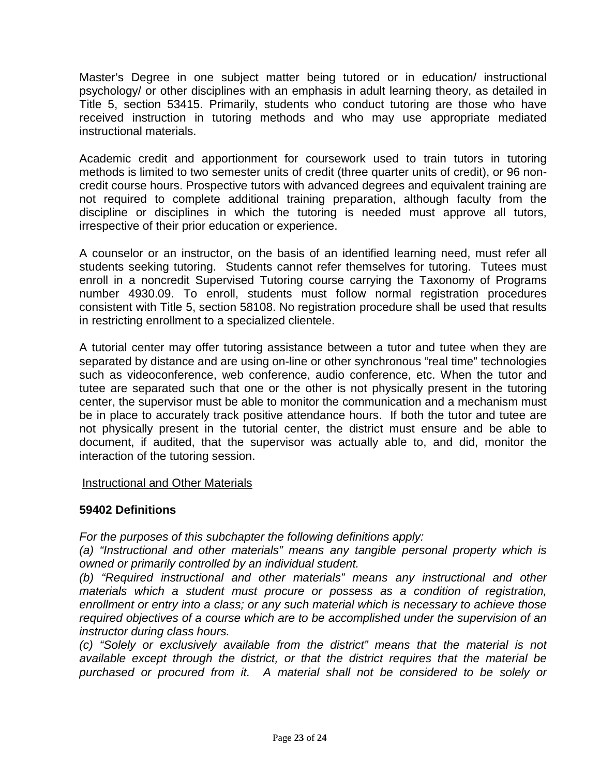Master's Degree in one subject matter being tutored or in education/ instructional psychology/ or other disciplines with an emphasis in adult learning theory, as detailed in Title 5, section 53415. Primarily, students who conduct tutoring are those who have received instruction in tutoring methods and who may use appropriate mediated instructional materials.

Academic credit and apportionment for coursework used to train tutors in tutoring methods is limited to two semester units of credit (three quarter units of credit), or 96 noncredit course hours. Prospective tutors with advanced degrees and equivalent training are not required to complete additional training preparation, although faculty from the discipline or disciplines in which the tutoring is needed must approve all tutors, irrespective of their prior education or experience.

A counselor or an instructor, on the basis of an identified learning need, must refer all students seeking tutoring. Students cannot refer themselves for tutoring. Tutees must enroll in a noncredit Supervised Tutoring course carrying the Taxonomy of Programs number 4930.09. To enroll, students must follow normal registration procedures consistent with Title 5, section 58108. No registration procedure shall be used that results in restricting enrollment to a specialized clientele.

A tutorial center may offer tutoring assistance between a tutor and tutee when they are separated by distance and are using on-line or other synchronous "real time" technologies such as videoconference, web conference, audio conference, etc. When the tutor and tutee are separated such that one or the other is not physically present in the tutoring center, the supervisor must be able to monitor the communication and a mechanism must be in place to accurately track positive attendance hours. If both the tutor and tutee are not physically present in the tutorial center, the district must ensure and be able to document, if audited, that the supervisor was actually able to, and did, monitor the interaction of the tutoring session.

#### Instructional and Other Materials

#### **59402 Definitions**

*For the purposes of this subchapter the following definitions apply:*

*(a) "Instructional and other materials" means any tangible personal property which is owned or primarily controlled by an individual student.*

*(b) "Required instructional and other materials" means any instructional and other materials which a student must procure or possess as a condition of registration, enrollment or entry into a class; or any such material which is necessary to achieve those required objectives of a course which are to be accomplished under the supervision of an instructor during class hours.*

*(c) "Solely or exclusively available from the district" means that the material is not available except through the district, or that the district requires that the material be purchased or procured from it. A material shall not be considered to be solely or*